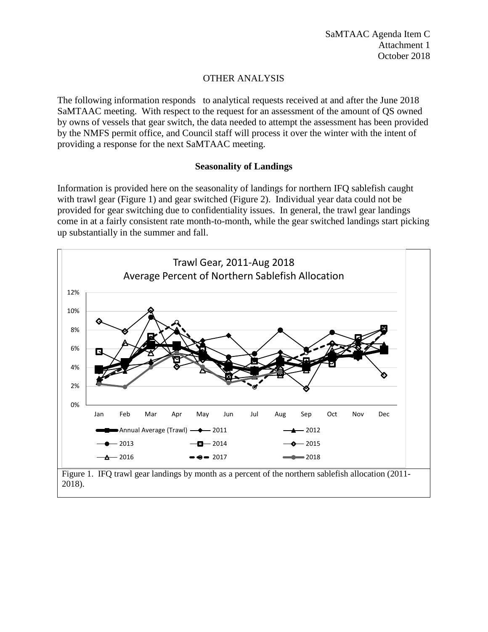## OTHER ANALYSIS

The following information responds to analytical requests received at and after the June 2018 SaMTAAC meeting. With respect to the request for an assessment of the amount of QS owned by owns of vessels that gear switch, the data needed to attempt the assessment has been provided by the NMFS permit office, and Council staff will process it over the winter with the intent of providing a response for the next SaMTAAC meeting.

## **Seasonality of Landings**

Information is provided here on the seasonality of landings for northern IFQ sablefish caught with trawl gear [\(Figure 1\)](#page-0-0) and gear switched [\(Figure 2\)](#page-1-0). Individual year data could not be provided for gear switching due to confidentiality issues. In general, the trawl gear landings come in at a fairly consistent rate month-to-month, while the gear switched landings start picking up substantially in the summer and fall.

<span id="page-0-0"></span>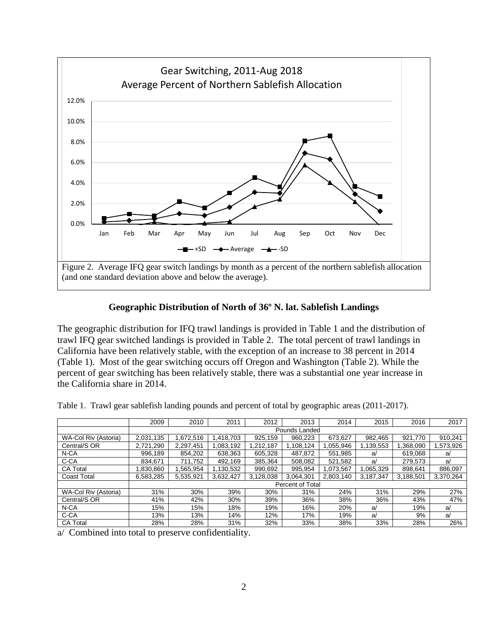

## **Geographic Distribution of North of 36º N. lat. Sablefish Landings**

<span id="page-1-0"></span>The geographic distribution for IFQ trawl landings is provided in [Table 1](#page-1-1) and the distribution of trawl IFQ gear switched landings is provided in [Table 2.](#page-2-0) The total percent of trawl landings in California have been relatively stable, with the exception of an increase to 38 percent in 2014 [\(Table 1\)](#page-1-1). Most of the gear switching occurs off Oregon and Washington [\(Table 2\)](#page-2-0). While the percent of gear switching has been relatively stable, there was a substantial one year increase in the California share in 2014.

<span id="page-1-1"></span>

|  | Table 1. Trawl gear sablefish landing pounds and percent of total by geographic areas (2011-2017). |  |  |  |
|--|----------------------------------------------------------------------------------------------------|--|--|--|
|  |                                                                                                    |  |  |  |

|                                | 2009                    | 2010      | 2011      | 2012      | 2013      | 2014      | 2015      | 2016      | 2017      |
|--------------------------------|-------------------------|-----------|-----------|-----------|-----------|-----------|-----------|-----------|-----------|
|                                | Pounds Landed           |           |           |           |           |           |           |           |           |
| WA-Col Riv (Astoria)           | 2,031,135               | 1,672,516 | 1.418.703 | 925.159   | 960.223   | 673.627   | 982.465   | 921.770   | 910,241   |
| Central/S OR                   | 2.721.290               | 2.297.451 | 1,083,192 | 1.212.187 | 1.108.124 | 1.055.946 | 1,139,553 | .368.090  | 1,573,926 |
| N-CA                           | 996.189                 | 854.202   | 638.363   | 605.328   | 487.872   | 551.985   | a/        | 619.068   | a/        |
| C-CA                           | 834.671                 | 711.752   | 492.169   | 385.364   | 508.082   | 521.582   | a/        | 279.573   | a/        |
| <b>CA Total</b>                | 830,860                 | 1,565,954 | 1,130,532 | 990,692   | 995.954   | 1,073,567 | 1,065,329 | 898.641   | 886,097   |
| <b>Coast Total</b>             | 6,583,285               | 5,535,921 | 3,632,427 | 3,128,038 | 3.064.301 | 2.803.140 | 3,187,347 | 3,188,501 | 3,370,264 |
|                                | <b>Percent of Total</b> |           |           |           |           |           |           |           |           |
| WA-Col Riv (Astoria)           | 31%                     | 30%       | 39%       | 30%       | 31%       | 24%       | 31%       | 29%       | 27%       |
| Central/S OR                   | 41%                     | 42%       | 30%       | 39%       | 36%       | 38%       | 36%       | 43%       | 47%       |
| N-CA                           | 15%                     | 15%       | 18%       | 19%       | 16%       | 20%       | a/        | 19%       | a         |
| C-CA                           | 13%                     | 13%       | 14%       | 12%       | 17%       | 19%       | a/        | 9%        | a/        |
| <b>CA Total</b>                | 28%                     | 28%       | 31%       | 32%       | 33%       | 38%       | 33%       | 28%       | 26%       |
| $\sim$ $\sim$<br>$\sim$ $\sim$ |                         |           | $-$       |           |           |           |           |           |           |

a/ Combined into total to preserve confidentiality.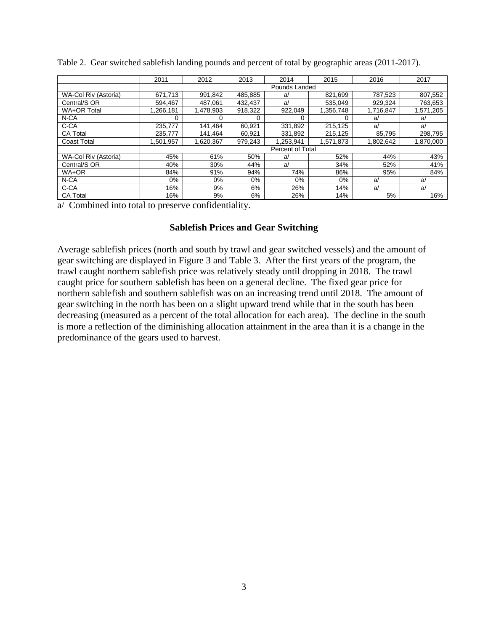|                      | 2011                    | 2012      | 2013    | 2014      | 2015      | 2016      | 2017      |  |
|----------------------|-------------------------|-----------|---------|-----------|-----------|-----------|-----------|--|
|                      | Pounds Landed           |           |         |           |           |           |           |  |
| WA-Col Riv (Astoria) | 671.713                 | 991,842   | 485,885 | a         | 821,699   | 787,523   | 807,552   |  |
| Central/S OR         | 594,467                 | 487.061   | 432.437 | a/        | 535.049   | 929.324   | 763,653   |  |
| WA+OR Total          | 1.266.181               | 1,478,903 | 918,322 | 922,049   | 1,356,748 | 1,716,847 | 1,571,205 |  |
| N-CA                 |                         |           | 0       |           |           | a         | a         |  |
| C-CA                 | 235,777                 | 141,464   | 60,921  | 331,892   | 215,125   | a/        | a/        |  |
| <b>CA Total</b>      | 235,777                 | 141,464   | 60,921  | 331,892   | 215,125   | 85,795    | 298,795   |  |
| <b>Coast Total</b>   | 1,501,957               | 1,620,367 | 979,243 | 1,253,941 | 1,571,873 | 1,802,642 | 1,870,000 |  |
|                      | <b>Percent of Total</b> |           |         |           |           |           |           |  |
| WA-Col Riv (Astoria) | 45%                     | 61%       | 50%     | a         | 52%       | 44%       | 43%       |  |
| Central/S OR         | 40%                     | 30%       | 44%     | a         | 34%       | 52%       | 41%       |  |
| WA+OR                | 84%                     | 91%       | 94%     | 74%       | 86%       | 95%       | 84%       |  |
| N-CA                 | 0%                      | 0%        | $0\%$   | 0%        | $0\%$     | a/        | a/        |  |
| C-CA                 | 16%                     | 9%        | 6%      | 26%       | 14%       | a/        | a         |  |
| <b>CA Total</b>      | 16%                     | 9%        | 6%      | 26%       | 14%       | 5%        | 16%       |  |

<span id="page-2-0"></span>Table 2. Gear switched sablefish landing pounds and percent of total by geographic areas (2011-2017).

a/ Combined into total to preserve confidentiality.

## **Sablefish Prices and Gear Switching**

Average sablefish prices (north and south by trawl and gear switched vessels) and the amount of gear switching are displayed in [Figure 3](#page-3-0) and [Table 3.](#page-3-1) After the first years of the program, the trawl caught northern sablefish price was relatively steady until dropping in 2018. The trawl caught price for southern sablefish has been on a general decline. The fixed gear price for northern sablefish and southern sablefish was on an increasing trend until 2018. The amount of gear switching in the north has been on a slight upward trend while that in the south has been decreasing (measured as a percent of the total allocation for each area). The decline in the south is more a reflection of the diminishing allocation attainment in the area than it is a change in the predominance of the gears used to harvest.